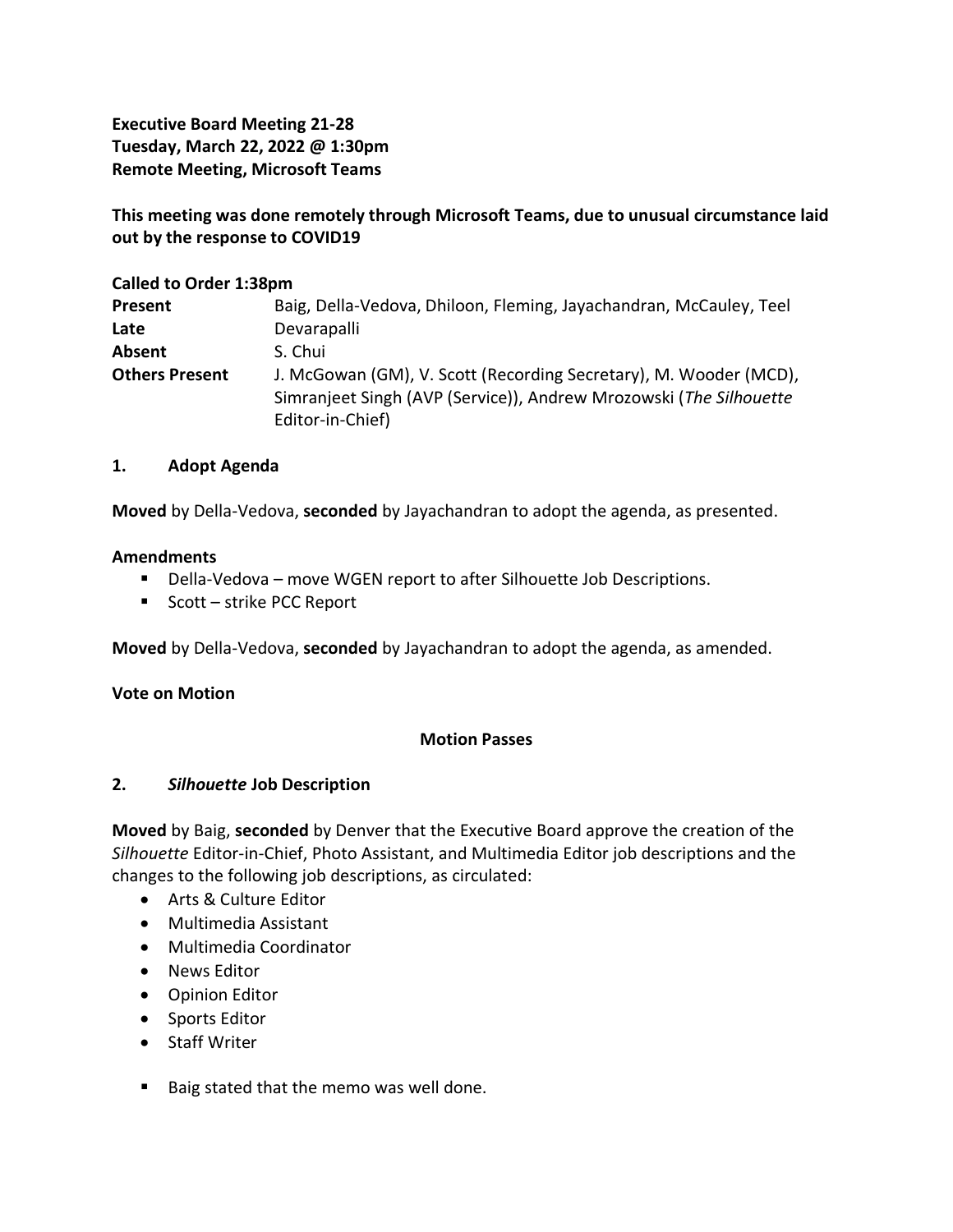**Executive Board Meeting 21-28 Tuesday, March 22, 2022 @ 1:30pm Remote Meeting, Microsoft Teams**

**This meeting was done remotely through Microsoft Teams, due to unusual circumstance laid out by the response to COVID19**

### **Called to Order 1:38pm**

| <b>Present</b>        | Baig, Della-Vedova, Dhiloon, Fleming, Jayachandran, McCauley, Teel                                                                                          |
|-----------------------|-------------------------------------------------------------------------------------------------------------------------------------------------------------|
| Late                  | Devarapalli                                                                                                                                                 |
| Absent                | S. Chui                                                                                                                                                     |
| <b>Others Present</b> | J. McGowan (GM), V. Scott (Recording Secretary), M. Wooder (MCD),<br>Simranjeet Singh (AVP (Service)), Andrew Mrozowski (The Silhouette<br>Editor-in-Chief) |

## **1. Adopt Agenda**

**Moved** by Della-Vedova, **seconded** by Jayachandran to adopt the agenda, as presented.

## **Amendments**

- Della-Vedova move WGEN report to after Silhouette Job Descriptions.
- Scott strike PCC Report

**Moved** by Della-Vedova, **seconded** by Jayachandran to adopt the agenda, as amended.

# **Vote on Motion**

# **Motion Passes**

#### **2.** *Silhouette* **Job Description**

**Moved** by Baig, **seconded** by Denver that the Executive Board approve the creation of the *Silhouette* Editor-in-Chief, Photo Assistant, and Multimedia Editor job descriptions and the changes to the following job descriptions, as circulated:

- Arts & Culture Editor
- Multimedia Assistant
- Multimedia Coordinator
- News Editor
- Opinion Editor
- Sports Editor
- Staff Writer
- Baig stated that the memo was well done.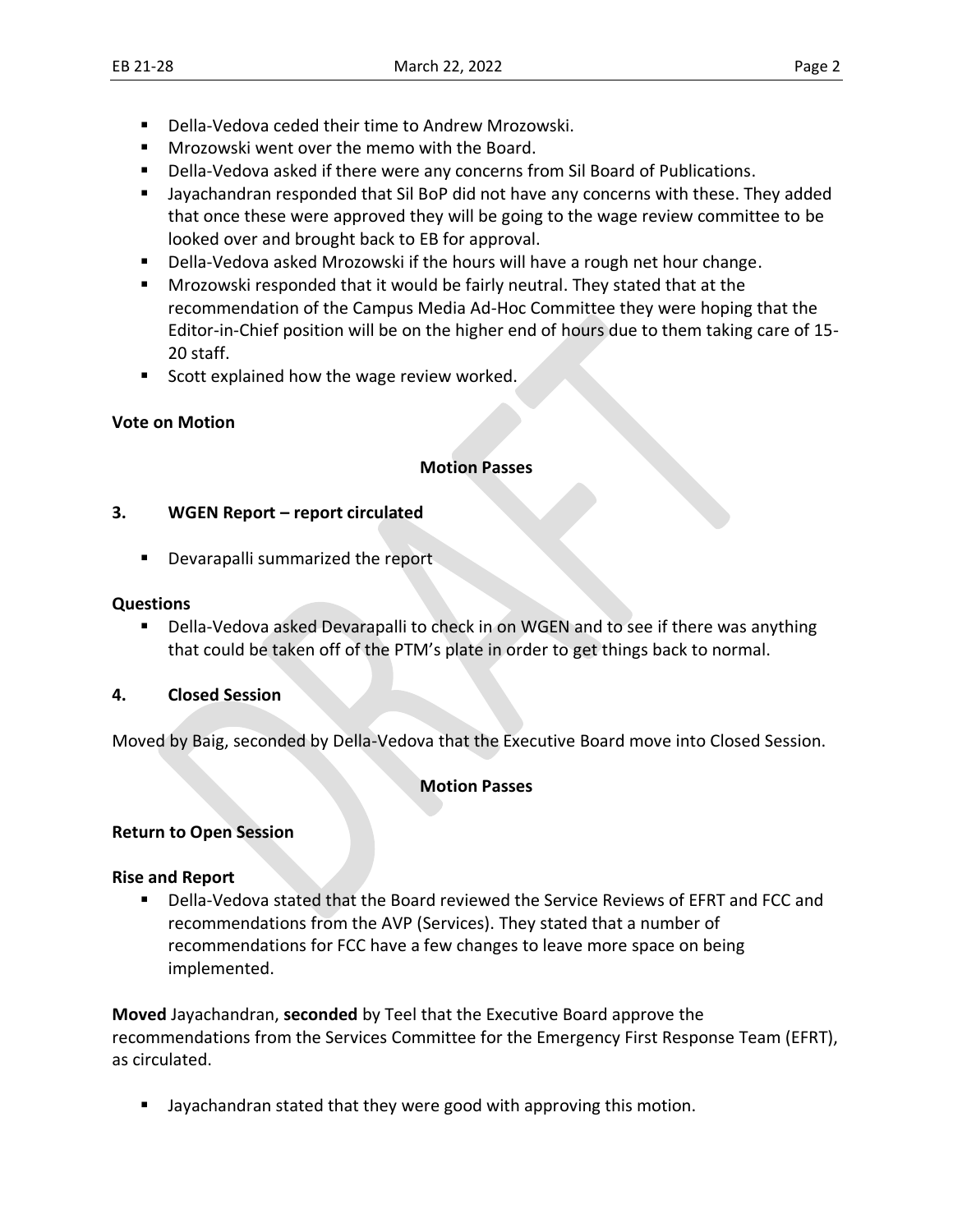- Della-Vedova ceded their time to Andrew Mrozowski.
- Mrozowski went over the memo with the Board.
- Della-Vedova asked if there were any concerns from Sil Board of Publications.
- **■** Jayachandran responded that Sil BoP did not have any concerns with these. They added that once these were approved they will be going to the wage review committee to be looked over and brought back to EB for approval.
- Della-Vedova asked Mrozowski if the hours will have a rough net hour change.
- **■** Mrozowski responded that it would be fairly neutral. They stated that at the recommendation of the Campus Media Ad-Hoc Committee they were hoping that the Editor-in-Chief position will be on the higher end of hours due to them taking care of 15- 20 staff.
- Scott explained how the wage review worked.

## **Vote on Motion**

#### **Motion Passes**

#### **3. WGEN Report – report circulated**

■ Devarapalli summarized the report

#### **Questions**

Della-Vedova asked Devarapalli to check in on WGEN and to see if there was anything that could be taken off of the PTM's plate in order to get things back to normal.

#### **4. Closed Session**

Moved by Baig, seconded by Della-Vedova that the Executive Board move into Closed Session.

#### **Motion Passes**

#### **Return to Open Session**

#### **Rise and Report**

▪ Della-Vedova stated that the Board reviewed the Service Reviews of EFRT and FCC and recommendations from the AVP (Services). They stated that a number of recommendations for FCC have a few changes to leave more space on being implemented.

**Moved** Jayachandran, **seconded** by Teel that the Executive Board approve the recommendations from the Services Committee for the Emergency First Response Team (EFRT), as circulated.

■ Jayachandran stated that they were good with approving this motion.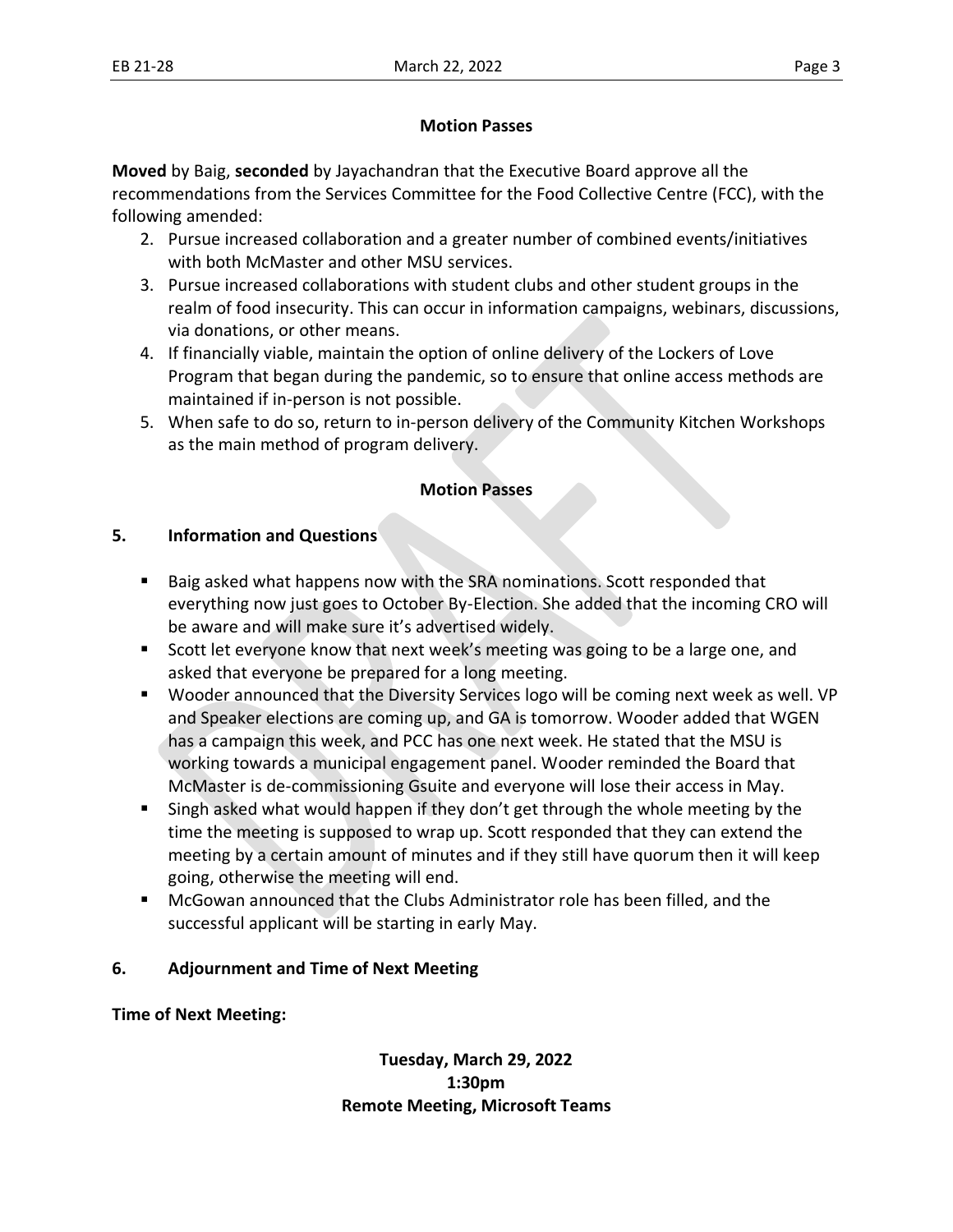## **Motion Passes**

**Moved** by Baig, **seconded** by Jayachandran that the Executive Board approve all the recommendations from the Services Committee for the Food Collective Centre (FCC), with the following amended:

- 2. Pursue increased collaboration and a greater number of combined events/initiatives with both McMaster and other MSU services.
- 3. Pursue increased collaborations with student clubs and other student groups in the realm of food insecurity. This can occur in information campaigns, webinars, discussions, via donations, or other means.
- 4. If financially viable, maintain the option of online delivery of the Lockers of Love Program that began during the pandemic, so to ensure that online access methods are maintained if in-person is not possible.
- 5. When safe to do so, return to in-person delivery of the Community Kitchen Workshops as the main method of program delivery.

## **Motion Passes**

## **5. Information and Questions**

- Baig asked what happens now with the SRA nominations. Scott responded that everything now just goes to October By-Election. She added that the incoming CRO will be aware and will make sure it's advertised widely.
- Scott let everyone know that next week's meeting was going to be a large one, and asked that everyone be prepared for a long meeting.
- Wooder announced that the Diversity Services logo will be coming next week as well. VP and Speaker elections are coming up, and GA is tomorrow. Wooder added that WGEN has a campaign this week, and PCC has one next week. He stated that the MSU is working towards a municipal engagement panel. Wooder reminded the Board that McMaster is de-commissioning Gsuite and everyone will lose their access in May.
- Singh asked what would happen if they don't get through the whole meeting by the time the meeting is supposed to wrap up. Scott responded that they can extend the meeting by a certain amount of minutes and if they still have quorum then it will keep going, otherwise the meeting will end.
- McGowan announced that the Clubs Administrator role has been filled, and the successful applicant will be starting in early May.

# **6. Adjournment and Time of Next Meeting**

# **Time of Next Meeting:**

**Tuesday, March 29, 2022 1:30pm Remote Meeting, Microsoft Teams**